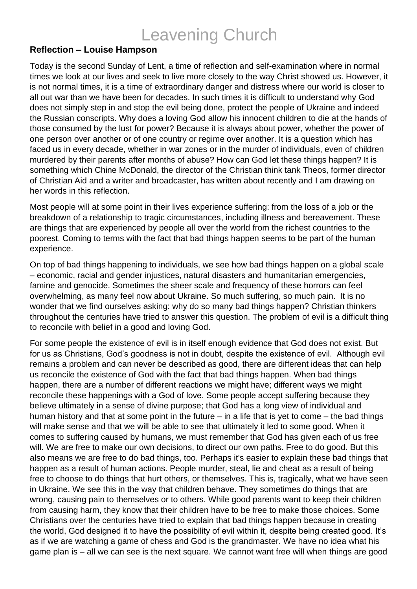## Leavening Church

## **Reflection – Louise Hampson**

Today is the second Sunday of Lent, a time of reflection and self-examination where in normal times we look at our lives and seek to live more closely to the way Christ showed us. However, it is not normal times, it is a time of extraordinary danger and distress where our world is closer to all out war than we have been for decades. In such times it is difficult to understand why God does not simply step in and stop the evil being done, protect the people of Ukraine and indeed the Russian conscripts. Why does a loving God allow his innocent children to die at the hands of those consumed by the lust for power? Because it is always about power, whether the power of one person over another or of one country or regime over another. It is a question which has faced us in every decade, whether in war zones or in the murder of individuals, even of children murdered by their parents after months of abuse? How can God let these things happen? It is something which Chine McDonald, the director of the Christian think tank Theos, former director of Christian Aid and a writer and broadcaster, has written about recently and I am drawing on her words in this reflection.

Most people will at some point in their lives experience suffering: from the loss of a job or the breakdown of a relationship to tragic circumstances, including illness and bereavement. These are things that are experienced by people all over the world from the richest countries to the poorest. Coming to terms with the fact that bad things happen seems to be part of the human experience.

On top of bad things happening to individuals, we see how bad things happen on a global scale – economic, racial and gender injustices, natural disasters and humanitarian emergencies, famine and genocide. Sometimes the sheer scale and frequency of these horrors can feel overwhelming, as many feel now about Ukraine. So much suffering, so much pain. It is no wonder that we find ourselves asking: why do so many bad things happen? Christian thinkers throughout the centuries have tried to answer this question. The problem of evil is a difficult thing to reconcile with belief in a good and loving God.

For some people the existence of evil is in itself enough evidence that God does not exist. But for us as Christians, God's goodness is not in doubt, despite the existence of evil. Although evil remains a problem and can never be described as good, there are different ideas that can help us reconcile the existence of God with the fact that bad things happen. When bad things happen, there are a number of different reactions we might have; different ways we might reconcile these happenings with a God of love. Some people accept suffering because they believe ultimately in a sense of divine purpose; that God has a long view of individual and human history and that at some point in the future – in a life that is yet to come – the bad things will make sense and that we will be able to see that ultimately it led to some good. When it comes to suffering caused by humans, we must remember that God has given each of us free will. We are free to make our own decisions, to direct our own paths. Free to do good. But this also means we are free to do bad things, too. Perhaps it's easier to explain these bad things that happen as a result of human actions. People murder, steal, lie and cheat as a result of being free to choose to do things that hurt others, or themselves. This is, tragically, what we have seen in Ukraine. We see this in the way that children behave. They sometimes do things that are wrong, causing pain to themselves or to others. While good parents want to keep their children from causing harm, they know that their children have to be free to make those choices. Some Christians over the centuries have tried to explain that bad things happen because in creating the world, God designed it to have the possibility of evil within it, despite being created good. It's as if we are watching a game of chess and God is the grandmaster. We have no idea what his game plan is – all we can see is the next square. We cannot want free will when things are good